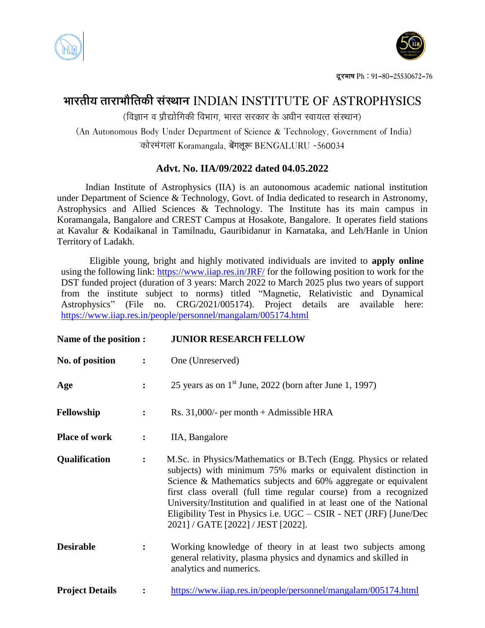



## **ØððÜÃðóÚð ÃððÜðØððøòÃð¨îó çðüçÆððÐð INDIAN INSTITUTE OF ASTROPHYSICS**

 $\delta$  (विज्ञान व प्रौद्योगिकी विभाग, भारत सरकार के अधीन स्वायत्त संस्थान)

(An Autonomous Body Under Department of Science & Technology, Government of India) ¨îð÷ÜÙðü±ðâðð Koramangala, बेंगलूरू BENGALURU -560034

## **Advt. No. IIA/09/2022 dated 04.05.2022**

Indian Institute of Astrophysics (IIA) is an autonomous academic national institution under Department of Science & Technology, Govt. of India dedicated to research in Astronomy, Astrophysics and Allied Sciences & Technology. The Institute has its main campus in Koramangala, Bangalore and CREST Campus at Hosakote, Bangalore. It operates field stations at Kavalur & Kodaikanal in Tamilnadu, Gauribidanur in Karnataka, and Leh/Hanle in Union Territory of Ladakh.

Eligible young, bright and highly motivated individuals are invited to **apply online** using the following link:<https://www.iiap.res.in/JRF/> for the following position to work for the DST funded project (duration of 3 years: March 2022 to March 2025 plus two years of support from the institute subject to norms) titled "Magnetic, Relativistic and Dynamical Astrophysics" (File no. CRG/2021/005174). Project details are available here: <https://www.iiap.res.in/people/personnel/mangalam/005174.html>

| Name of the position : |                | <b>JUNIOR RESEARCH FELLOW</b>                                                                                                                                                                                                                                                                                                                                                                                                                                |
|------------------------|----------------|--------------------------------------------------------------------------------------------------------------------------------------------------------------------------------------------------------------------------------------------------------------------------------------------------------------------------------------------------------------------------------------------------------------------------------------------------------------|
| No. of position        | $\ddot{\cdot}$ | One (Unreserved)                                                                                                                                                                                                                                                                                                                                                                                                                                             |
| Age                    | $\ddot{\cdot}$ | 25 years as on $1st$ June, 2022 (born after June 1, 1997)                                                                                                                                                                                                                                                                                                                                                                                                    |
| Fellowship             | $\ddot{\cdot}$ | Rs. $31,000/$ - per month + Admissible HRA                                                                                                                                                                                                                                                                                                                                                                                                                   |
| <b>Place of work</b>   | $\ddot{\cdot}$ | IIA, Bangalore                                                                                                                                                                                                                                                                                                                                                                                                                                               |
| Qualification          | $\ddot{\cdot}$ | M.Sc. in Physics/Mathematics or B.Tech (Engg. Physics or related<br>subjects) with minimum 75% marks or equivalent distinction in<br>Science & Mathematics subjects and 60% aggregate or equivalent<br>first class overall (full time regular course) from a recognized<br>University/Institution and qualified in at least one of the National<br>Eligibility Test in Physics i.e. $UGC - CSIR - NET (IRF)$ [June/Dec<br>2021] / GATE [2022] / JEST [2022]. |
| <b>Desirable</b>       | $\ddot{\cdot}$ | Working knowledge of theory in at least two subjects among<br>general relativity, plasma physics and dynamics and skilled in<br>analytics and numerics.                                                                                                                                                                                                                                                                                                      |
| <b>Project Details</b> | $\ddot{\cdot}$ | https://www.iiap.res.in/people/personnel/mangalam/005174.html                                                                                                                                                                                                                                                                                                                                                                                                |